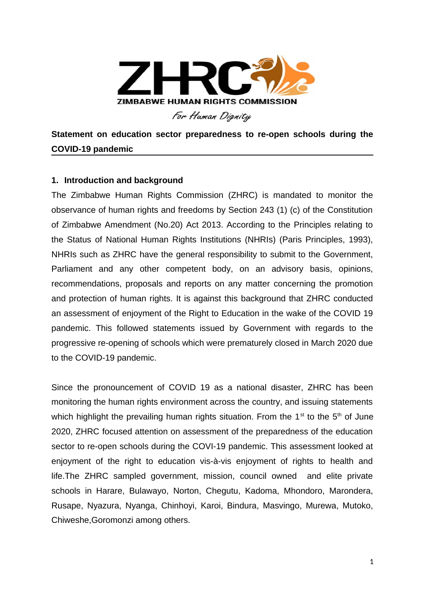

**Statement on education sector preparedness to re-open schools during the COVID-19 pandemic**

# **1. Introduction and background**

The Zimbabwe Human Rights Commission (ZHRC) is mandated to monitor the observance of human rights and freedoms by Section 243 (1) (c) of the Constitution of Zimbabwe Amendment (No.20) Act 2013. According to the Principles relating to the Status of National Human Rights Institutions (NHRIs) (Paris Principles, 1993), NHRIs such as ZHRC have the general responsibility to submit to the Government, Parliament and any other competent body, on an advisory basis, opinions, recommendations, proposals and reports on any matter concerning the promotion and protection of human rights. It is against this background that ZHRC conducted an assessment of enjoyment of the Right to Education in the wake of the COVID 19 pandemic. This followed statements issued by Government with regards to the progressive re-opening of schools which were prematurely closed in March 2020 due to the COVID-19 pandemic.

Since the pronouncement of COVID 19 as a national disaster, ZHRC has been monitoring the human rights environment across the country, and issuing statements which highlight the prevailing human rights situation. From the  $1<sup>st</sup>$  to the  $5<sup>th</sup>$  of June 2020, ZHRC focused attention on assessment of the preparedness of the education sector to re-open schools during the COVI-19 pandemic. This assessment looked at enjoyment of the right to education vis-à-vis enjoyment of rights to health and life.The ZHRC sampled government, mission, council owned and elite private schools in Harare, Bulawayo, Norton, Chegutu, Kadoma, Mhondoro, Marondera, Rusape, Nyazura, Nyanga, Chinhoyi, Karoi, Bindura, Masvingo, Murewa, Mutoko, Chiweshe,Goromonzi among others.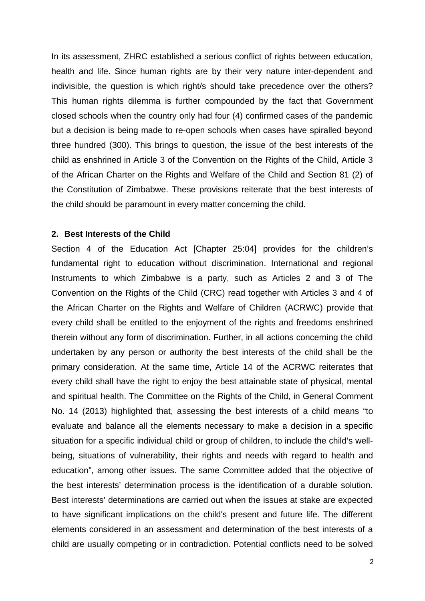In its assessment, ZHRC established a serious conflict of rights between education, health and life. Since human rights are by their very nature inter-dependent and indivisible, the question is which right/s should take precedence over the others? This human rights dilemma is further compounded by the fact that Government closed schools when the country only had four (4) confirmed cases of the pandemic but a decision is being made to re-open schools when cases have spiralled beyond three hundred (300). This brings to question, the issue of the best interests of the child as enshrined in Article 3 of the Convention on the Rights of the Child, Article 3 of the African Charter on the Rights and Welfare of the Child and Section 81 (2) of the Constitution of Zimbabwe. These provisions reiterate that the best interests of the child should be paramount in every matter concerning the child.

### **2. Best Interests of the Child**

Section 4 of the Education Act [Chapter 25:04] provides for the children's fundamental right to education without discrimination. International and regional Instruments to which Zimbabwe is a party, such as Articles 2 and 3 of The Convention on the Rights of the Child (CRC) read together with Articles 3 and 4 of the African Charter on the Rights and Welfare of Children (ACRWC) provide that every child shall be entitled to the enjoyment of the rights and freedoms enshrined therein without any form of discrimination. Further, in all actions concerning the child undertaken by any person or authority the best interests of the child shall be the primary consideration. At the same time, Article 14 of the ACRWC reiterates that every child shall have the right to enjoy the best attainable state of physical, mental and spiritual health. The Committee on the Rights of the Child, in General Comment No. 14 (2013) highlighted that, assessing the best interests of a child means "to evaluate and balance all the elements necessary to make a decision in a specific situation for a specific individual child or group of children, to include the child's wellbeing, situations of vulnerability, their rights and needs with regard to health and education", among other issues. The same Committee added that the objective of the best interests' determination process is the identification of a durable solution. Best interests' determinations are carried out when the issues at stake are expected to have significant implications on the child's present and future life. The different elements considered in an assessment and determination of the best interests of a child are usually competing or in contradiction. Potential conflicts need to be solved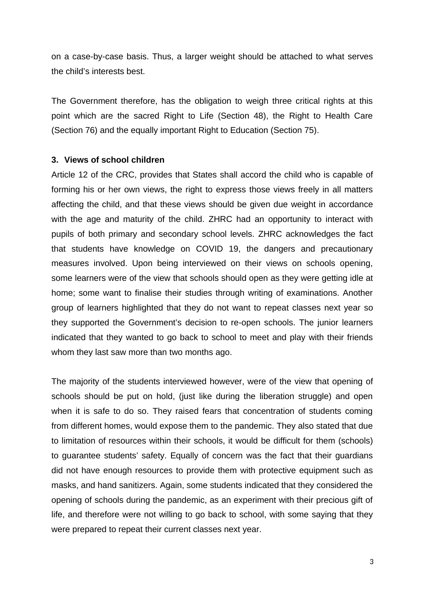on a case-by-case basis. Thus, a larger weight should be attached to what serves the child's interests best.

The Government therefore, has the obligation to weigh three critical rights at this point which are the sacred Right to Life (Section 48), the Right to Health Care (Section 76) and the equally important Right to Education (Section 75).

### **3. Views of school children**

Article 12 of the CRC, provides that States shall accord the child who is capable of forming his or her own views, the right to express those views freely in all matters affecting the child, and that these views should be given due weight in accordance with the age and maturity of the child. ZHRC had an opportunity to interact with pupils of both primary and secondary school levels. ZHRC acknowledges the fact that students have knowledge on COVID 19, the dangers and precautionary measures involved. Upon being interviewed on their views on schools opening, some learners were of the view that schools should open as they were getting idle at home; some want to finalise their studies through writing of examinations. Another group of learners highlighted that they do not want to repeat classes next year so they supported the Government's decision to re-open schools. The junior learners indicated that they wanted to go back to school to meet and play with their friends whom they last saw more than two months ago.

The majority of the students interviewed however, were of the view that opening of schools should be put on hold, (just like during the liberation struggle) and open when it is safe to do so. They raised fears that concentration of students coming from different homes, would expose them to the pandemic. They also stated that due to limitation of resources within their schools, it would be difficult for them (schools) to guarantee students' safety. Equally of concern was the fact that their guardians did not have enough resources to provide them with protective equipment such as masks, and hand sanitizers. Again, some students indicated that they considered the opening of schools during the pandemic, as an experiment with their precious gift of life, and therefore were not willing to go back to school, with some saying that they were prepared to repeat their current classes next year.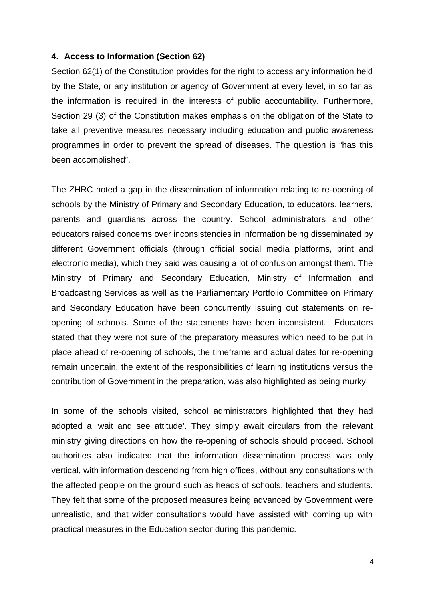### **4. Access to Information (Section 62)**

Section 62(1) of the Constitution provides for the right to access any information held by the State, or any institution or agency of Government at every level, in so far as the information is required in the interests of public accountability. Furthermore, Section 29 (3) of the Constitution makes emphasis on the obligation of the State to take all preventive measures necessary including education and public awareness programmes in order to prevent the spread of diseases. The question is "has this been accomplished".

The ZHRC noted a gap in the dissemination of information relating to re-opening of schools by the Ministry of Primary and Secondary Education, to educators, learners, parents and guardians across the country. School administrators and other educators raised concerns over inconsistencies in information being disseminated by different Government officials (through official social media platforms, print and electronic media), which they said was causing a lot of confusion amongst them. The Ministry of Primary and Secondary Education, Ministry of Information and Broadcasting Services as well as the Parliamentary Portfolio Committee on Primary and Secondary Education have been concurrently issuing out statements on reopening of schools. Some of the statements have been inconsistent. Educators stated that they were not sure of the preparatory measures which need to be put in place ahead of re-opening of schools, the timeframe and actual dates for re-opening remain uncertain, the extent of the responsibilities of learning institutions versus the contribution of Government in the preparation, was also highlighted as being murky.

In some of the schools visited, school administrators highlighted that they had adopted a 'wait and see attitude'. They simply await circulars from the relevant ministry giving directions on how the re-opening of schools should proceed. School authorities also indicated that the information dissemination process was only vertical, with information descending from high offices, without any consultations with the affected people on the ground such as heads of schools, teachers and students. They felt that some of the proposed measures being advanced by Government were unrealistic, and that wider consultations would have assisted with coming up with practical measures in the Education sector during this pandemic.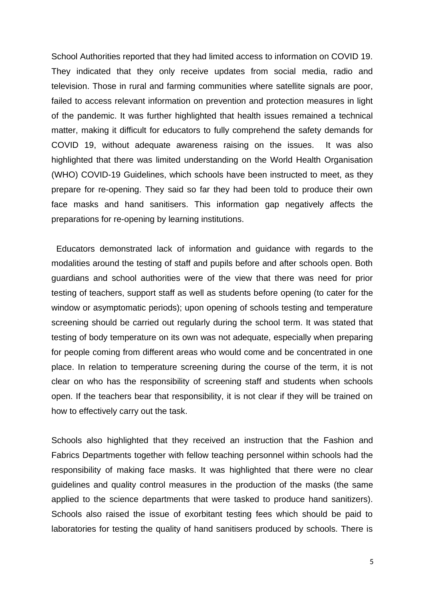School Authorities reported that they had limited access to information on COVID 19. They indicated that they only receive updates from social media, radio and television. Those in rural and farming communities where satellite signals are poor, failed to access relevant information on prevention and protection measures in light of the pandemic. It was further highlighted that health issues remained a technical matter, making it difficult for educators to fully comprehend the safety demands for COVID 19, without adequate awareness raising on the issues. It was also highlighted that there was limited understanding on the World Health Organisation (WHO) COVID-19 Guidelines, which schools have been instructed to meet, as they prepare for re-opening. They said so far they had been told to produce their own face masks and hand sanitisers. This information gap negatively affects the preparations for re-opening by learning institutions.

 Educators demonstrated lack of information and guidance with regards to the modalities around the testing of staff and pupils before and after schools open. Both guardians and school authorities were of the view that there was need for prior testing of teachers, support staff as well as students before opening (to cater for the window or asymptomatic periods); upon opening of schools testing and temperature screening should be carried out regularly during the school term. It was stated that testing of body temperature on its own was not adequate, especially when preparing for people coming from different areas who would come and be concentrated in one place. In relation to temperature screening during the course of the term, it is not clear on who has the responsibility of screening staff and students when schools open. If the teachers bear that responsibility, it is not clear if they will be trained on how to effectively carry out the task.

Schools also highlighted that they received an instruction that the Fashion and Fabrics Departments together with fellow teaching personnel within schools had the responsibility of making face masks. It was highlighted that there were no clear guidelines and quality control measures in the production of the masks (the same applied to the science departments that were tasked to produce hand sanitizers). Schools also raised the issue of exorbitant testing fees which should be paid to laboratories for testing the quality of hand sanitisers produced by schools. There is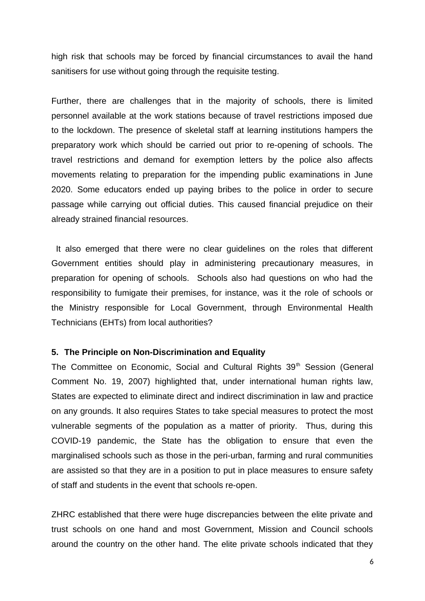high risk that schools may be forced by financial circumstances to avail the hand sanitisers for use without going through the requisite testing.

Further, there are challenges that in the majority of schools, there is limited personnel available at the work stations because of travel restrictions imposed due to the lockdown. The presence of skeletal staff at learning institutions hampers the preparatory work which should be carried out prior to re-opening of schools. The travel restrictions and demand for exemption letters by the police also affects movements relating to preparation for the impending public examinations in June 2020. Some educators ended up paying bribes to the police in order to secure passage while carrying out official duties. This caused financial prejudice on their already strained financial resources.

 It also emerged that there were no clear guidelines on the roles that different Government entities should play in administering precautionary measures, in preparation for opening of schools. Schools also had questions on who had the responsibility to fumigate their premises, for instance, was it the role of schools or the Ministry responsible for Local Government, through Environmental Health Technicians (EHTs) from local authorities?

#### **5. The Principle on Non-Discrimination and Equality**

The Committee on Economic, Social and Cultural Rights 39<sup>th</sup> Session (General Comment No. 19, 2007) highlighted that, under international human rights law, States are expected to eliminate direct and indirect discrimination in law and practice on any grounds. It also requires States to take special measures to protect the most vulnerable segments of the population as a matter of priority. Thus, during this COVID-19 pandemic, the State has the obligation to ensure that even the marginalised schools such as those in the peri-urban, farming and rural communities are assisted so that they are in a position to put in place measures to ensure safety of staff and students in the event that schools re-open.

ZHRC established that there were huge discrepancies between the elite private and trust schools on one hand and most Government, Mission and Council schools around the country on the other hand. The elite private schools indicated that they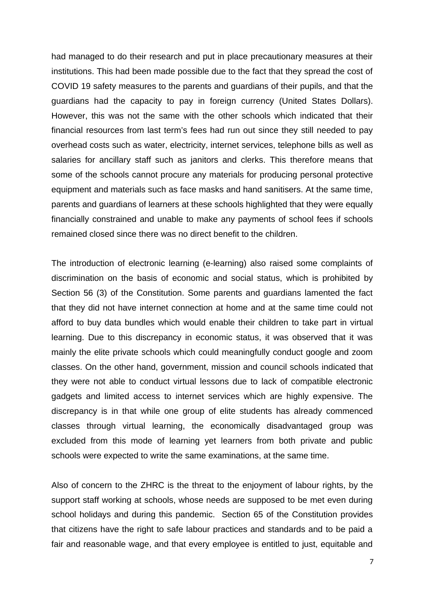had managed to do their research and put in place precautionary measures at their institutions. This had been made possible due to the fact that they spread the cost of COVID 19 safety measures to the parents and guardians of their pupils, and that the guardians had the capacity to pay in foreign currency (United States Dollars). However, this was not the same with the other schools which indicated that their financial resources from last term's fees had run out since they still needed to pay overhead costs such as water, electricity, internet services, telephone bills as well as salaries for ancillary staff such as janitors and clerks. This therefore means that some of the schools cannot procure any materials for producing personal protective equipment and materials such as face masks and hand sanitisers. At the same time, parents and guardians of learners at these schools highlighted that they were equally financially constrained and unable to make any payments of school fees if schools remained closed since there was no direct benefit to the children.

The introduction of electronic learning (e-learning) also raised some complaints of discrimination on the basis of economic and social status, which is prohibited by Section 56 (3) of the Constitution. Some parents and guardians lamented the fact that they did not have internet connection at home and at the same time could not afford to buy data bundles which would enable their children to take part in virtual learning. Due to this discrepancy in economic status, it was observed that it was mainly the elite private schools which could meaningfully conduct google and zoom classes. On the other hand, government, mission and council schools indicated that they were not able to conduct virtual lessons due to lack of compatible electronic gadgets and limited access to internet services which are highly expensive. The discrepancy is in that while one group of elite students has already commenced classes through virtual learning, the economically disadvantaged group was excluded from this mode of learning yet learners from both private and public schools were expected to write the same examinations, at the same time.

Also of concern to the ZHRC is the threat to the enjoyment of labour rights, by the support staff working at schools, whose needs are supposed to be met even during school holidays and during this pandemic. Section 65 of the Constitution provides that citizens have the right to safe labour practices and standards and to be paid a fair and reasonable wage, and that every employee is entitled to just, equitable and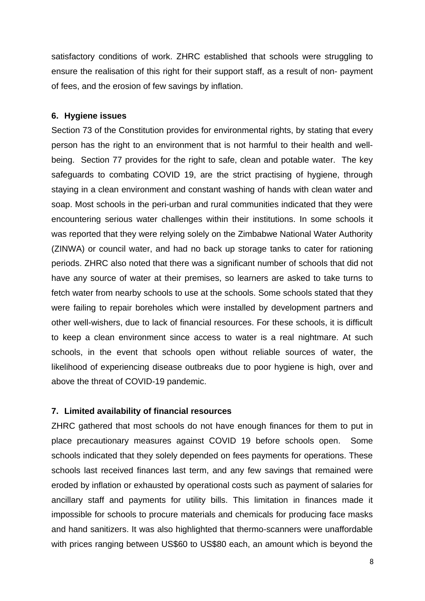satisfactory conditions of work. ZHRC established that schools were struggling to ensure the realisation of this right for their support staff, as a result of non- payment of fees, and the erosion of few savings by inflation.

## **6. Hygiene issues**

Section 73 of the Constitution provides for environmental rights, by stating that every person has the right to an environment that is not harmful to their health and wellbeing. Section 77 provides for the right to safe, clean and potable water. The key safeguards to combating COVID 19, are the strict practising of hygiene, through staying in a clean environment and constant washing of hands with clean water and soap. Most schools in the peri-urban and rural communities indicated that they were encountering serious water challenges within their institutions. In some schools it was reported that they were relying solely on the Zimbabwe National Water Authority (ZINWA) or council water, and had no back up storage tanks to cater for rationing periods. ZHRC also noted that there was a significant number of schools that did not have any source of water at their premises, so learners are asked to take turns to fetch water from nearby schools to use at the schools. Some schools stated that they were failing to repair boreholes which were installed by development partners and other well-wishers, due to lack of financial resources. For these schools, it is difficult to keep a clean environment since access to water is a real nightmare. At such schools, in the event that schools open without reliable sources of water, the likelihood of experiencing disease outbreaks due to poor hygiene is high, over and above the threat of COVID-19 pandemic.

## **7. Limited availability of financial resources**

ZHRC gathered that most schools do not have enough finances for them to put in place precautionary measures against COVID 19 before schools open. Some schools indicated that they solely depended on fees payments for operations. These schools last received finances last term, and any few savings that remained were eroded by inflation or exhausted by operational costs such as payment of salaries for ancillary staff and payments for utility bills. This limitation in finances made it impossible for schools to procure materials and chemicals for producing face masks and hand sanitizers. It was also highlighted that thermo-scanners were unaffordable with prices ranging between US\$60 to US\$80 each, an amount which is beyond the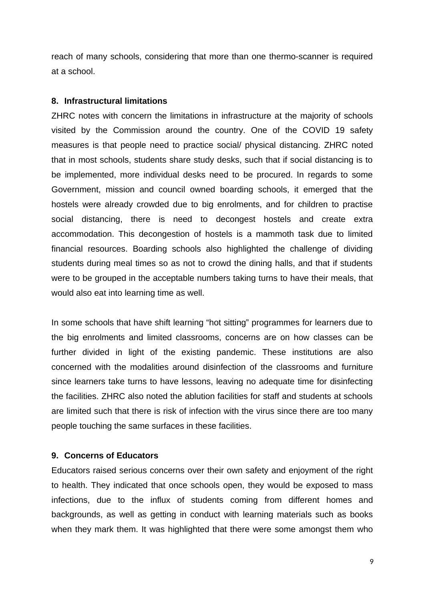reach of many schools, considering that more than one thermo-scanner is required at a school.

### **8. Infrastructural limitations**

ZHRC notes with concern the limitations in infrastructure at the majority of schools visited by the Commission around the country. One of the COVID 19 safety measures is that people need to practice social/ physical distancing. ZHRC noted that in most schools, students share study desks, such that if social distancing is to be implemented, more individual desks need to be procured. In regards to some Government, mission and council owned boarding schools, it emerged that the hostels were already crowded due to big enrolments, and for children to practise social distancing, there is need to decongest hostels and create extra accommodation. This decongestion of hostels is a mammoth task due to limited financial resources. Boarding schools also highlighted the challenge of dividing students during meal times so as not to crowd the dining halls, and that if students were to be grouped in the acceptable numbers taking turns to have their meals, that would also eat into learning time as well.

In some schools that have shift learning "hot sitting" programmes for learners due to the big enrolments and limited classrooms, concerns are on how classes can be further divided in light of the existing pandemic. These institutions are also concerned with the modalities around disinfection of the classrooms and furniture since learners take turns to have lessons, leaving no adequate time for disinfecting the facilities. ZHRC also noted the ablution facilities for staff and students at schools are limited such that there is risk of infection with the virus since there are too many people touching the same surfaces in these facilities.

## **9. Concerns of Educators**

Educators raised serious concerns over their own safety and enjoyment of the right to health. They indicated that once schools open, they would be exposed to mass infections, due to the influx of students coming from different homes and backgrounds, as well as getting in conduct with learning materials such as books when they mark them. It was highlighted that there were some amongst them who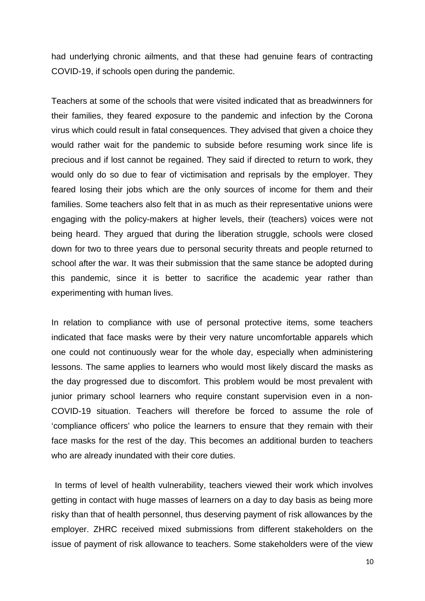had underlying chronic ailments, and that these had genuine fears of contracting COVID-19, if schools open during the pandemic.

Teachers at some of the schools that were visited indicated that as breadwinners for their families, they feared exposure to the pandemic and infection by the Corona virus which could result in fatal consequences. They advised that given a choice they would rather wait for the pandemic to subside before resuming work since life is precious and if lost cannot be regained. They said if directed to return to work, they would only do so due to fear of victimisation and reprisals by the employer. They feared losing their jobs which are the only sources of income for them and their families. Some teachers also felt that in as much as their representative unions were engaging with the policy-makers at higher levels, their (teachers) voices were not being heard. They argued that during the liberation struggle, schools were closed down for two to three years due to personal security threats and people returned to school after the war. It was their submission that the same stance be adopted during this pandemic, since it is better to sacrifice the academic year rather than experimenting with human lives.

In relation to compliance with use of personal protective items, some teachers indicated that face masks were by their very nature uncomfortable apparels which one could not continuously wear for the whole day, especially when administering lessons. The same applies to learners who would most likely discard the masks as the day progressed due to discomfort. This problem would be most prevalent with junior primary school learners who require constant supervision even in a non-COVID-19 situation. Teachers will therefore be forced to assume the role of 'compliance officers' who police the learners to ensure that they remain with their face masks for the rest of the day. This becomes an additional burden to teachers who are already inundated with their core duties.

 In terms of level of health vulnerability, teachers viewed their work which involves getting in contact with huge masses of learners on a day to day basis as being more risky than that of health personnel, thus deserving payment of risk allowances by the employer. ZHRC received mixed submissions from different stakeholders on the issue of payment of risk allowance to teachers. Some stakeholders were of the view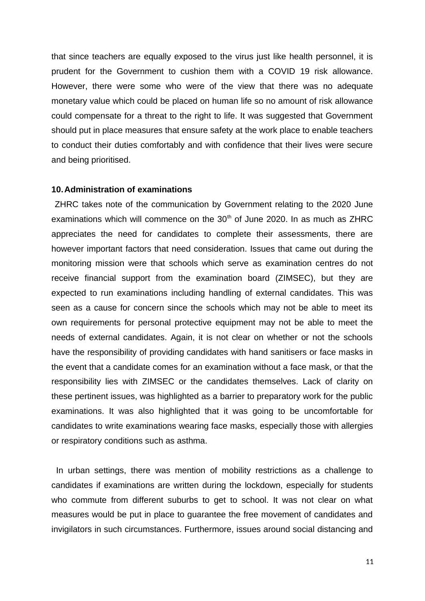that since teachers are equally exposed to the virus just like health personnel, it is prudent for the Government to cushion them with a COVID 19 risk allowance. However, there were some who were of the view that there was no adequate monetary value which could be placed on human life so no amount of risk allowance could compensate for a threat to the right to life. It was suggested that Government should put in place measures that ensure safety at the work place to enable teachers to conduct their duties comfortably and with confidence that their lives were secure and being prioritised.

#### **10.Administration of examinations**

 ZHRC takes note of the communication by Government relating to the 2020 June examinations which will commence on the  $30<sup>th</sup>$  of June 2020. In as much as ZHRC appreciates the need for candidates to complete their assessments, there are however important factors that need consideration. Issues that came out during the monitoring mission were that schools which serve as examination centres do not receive financial support from the examination board (ZIMSEC), but they are expected to run examinations including handling of external candidates. This was seen as a cause for concern since the schools which may not be able to meet its own requirements for personal protective equipment may not be able to meet the needs of external candidates. Again, it is not clear on whether or not the schools have the responsibility of providing candidates with hand sanitisers or face masks in the event that a candidate comes for an examination without a face mask, or that the responsibility lies with ZIMSEC or the candidates themselves. Lack of clarity on these pertinent issues, was highlighted as a barrier to preparatory work for the public examinations. It was also highlighted that it was going to be uncomfortable for candidates to write examinations wearing face masks, especially those with allergies or respiratory conditions such as asthma.

 In urban settings, there was mention of mobility restrictions as a challenge to candidates if examinations are written during the lockdown, especially for students who commute from different suburbs to get to school. It was not clear on what measures would be put in place to guarantee the free movement of candidates and invigilators in such circumstances. Furthermore, issues around social distancing and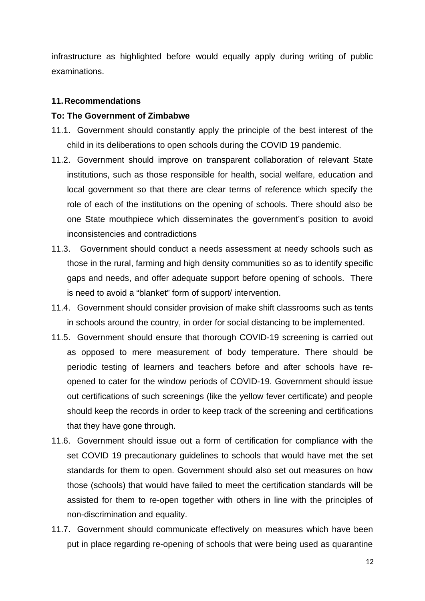infrastructure as highlighted before would equally apply during writing of public examinations.

### **11.Recommendations**

### **To: The Government of Zimbabwe**

- 11.1. Government should constantly apply the principle of the best interest of the child in its deliberations to open schools during the COVID 19 pandemic.
- 11.2. Government should improve on transparent collaboration of relevant State institutions, such as those responsible for health, social welfare, education and local government so that there are clear terms of reference which specify the role of each of the institutions on the opening of schools. There should also be one State mouthpiece which disseminates the government's position to avoid inconsistencies and contradictions
- 11.3. Government should conduct a needs assessment at needy schools such as those in the rural, farming and high density communities so as to identify specific gaps and needs, and offer adequate support before opening of schools. There is need to avoid a "blanket" form of support/ intervention.
- 11.4. Government should consider provision of make shift classrooms such as tents in schools around the country, in order for social distancing to be implemented.
- 11.5. Government should ensure that thorough COVID-19 screening is carried out as opposed to mere measurement of body temperature. There should be periodic testing of learners and teachers before and after schools have reopened to cater for the window periods of COVID-19. Government should issue out certifications of such screenings (like the yellow fever certificate) and people should keep the records in order to keep track of the screening and certifications that they have gone through.
- 11.6. Government should issue out a form of certification for compliance with the set COVID 19 precautionary guidelines to schools that would have met the set standards for them to open. Government should also set out measures on how those (schools) that would have failed to meet the certification standards will be assisted for them to re-open together with others in line with the principles of non-discrimination and equality.
- 11.7. Government should communicate effectively on measures which have been put in place regarding re-opening of schools that were being used as quarantine